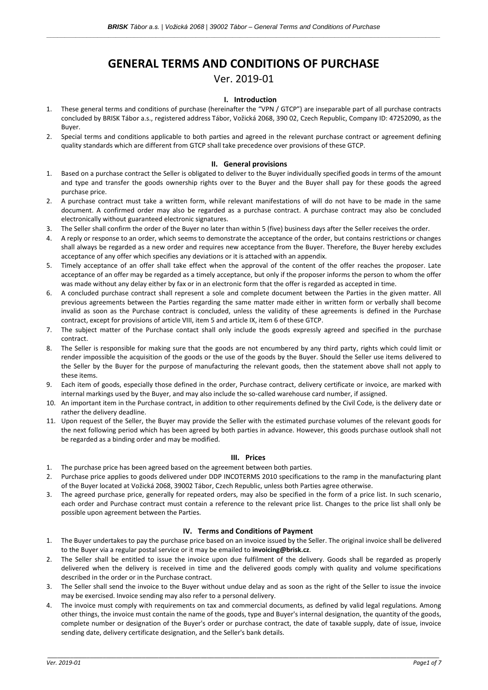# **GENERAL TERMS AND CONDITIONS OF PURCHASE**

Ver. 2019-01

## **I. Introduction**

- 1. These general terms and conditions of purchase (hereinafter the "VPN / GTCP") are inseparable part of all purchase contracts concluded by BRISK Tábor a.s., registered address Tábor, Vožická 2068, 390 02, Czech Republic, Company ID: 47252090, as the Buyer.
- 2. Special terms and conditions applicable to both parties and agreed in the relevant purchase contract or agreement defining quality standards which are different from GTCP shall take precedence over provisions of these GTCP.

#### **II. General provisions**

- 1. Based on a purchase contract the Seller is obligated to deliver to the Buyer individually specified goods in terms of the amount and type and transfer the goods ownership rights over to the Buyer and the Buyer shall pay for these goods the agreed purchase price.
- 2. A purchase contract must take a written form, while relevant manifestations of will do not have to be made in the same document. A confirmed order may also be regarded as a purchase contract. A purchase contract may also be concluded electronically without guaranteed electronic signatures.
- 3. The Seller shall confirm the order of the Buyer no later than within 5 (five) business days after the Seller receives the order.
- 4. A reply or response to an order, which seems to demonstrate the acceptance of the order, but contains restrictions or changes shall always be regarded as a new order and requires new acceptance from the Buyer. Therefore, the Buyer hereby excludes acceptance of any offer which specifies any deviations or it is attached with an appendix.
- 5. Timely acceptance of an offer shall take effect when the approval of the content of the offer reaches the proposer. Late acceptance of an offer may be regarded as a timely acceptance, but only if the proposer informs the person to whom the offer was made without any delay either by fax or in an electronic form that the offer is regarded as accepted in time.
- 6. A concluded purchase contract shall represent a sole and complete document between the Parties in the given matter. All previous agreements between the Parties regarding the same matter made either in written form or verbally shall become invalid as soon as the Purchase contract is concluded, unless the validity of these agreements is defined in the Purchase contract, except for provisions of article VIII, item 5 and article IX, item 6 of these GTCP.
- 7. The subject matter of the Purchase contact shall only include the goods expressly agreed and specified in the purchase contract.
- 8. The Seller is responsible for making sure that the goods are not encumbered by any third party, rights which could limit or render impossible the acquisition of the goods or the use of the goods by the Buyer. Should the Seller use items delivered to the Seller by the Buyer for the purpose of manufacturing the relevant goods, then the statement above shall not apply to these items.
- 9. Each item of goods, especially those defined in the order, Purchase contract, delivery certificate or invoice, are marked with internal markings used by the Buyer, and may also include the so-called warehouse card number, if assigned.
- 10. An important item in the Purchase contract, in addition to other requirements defined by the Civil Code, is the delivery date or rather the delivery deadline.
- 11. Upon request of the Seller, the Buyer may provide the Seller with the estimated purchase volumes of the relevant goods for the next following period which has been agreed by both parties in advance. However, this goods purchase outlook shall not be regarded as a binding order and may be modified.

#### **III. Prices**

- 1. The purchase price has been agreed based on the agreement between both parties.
- 2. Purchase price applies to goods delivered under DDP INCOTERMS 2010 specifications to the ramp in the manufacturing plant of the Buyer located at Vožická 2068, 39002 Tábor, Czech Republic, unless both Parties agree otherwise.
- 3. The agreed purchase price, generally for repeated orders, may also be specified in the form of a price list. In such scenario, each order and Purchase contract must contain a reference to the relevant price list. Changes to the price list shall only be possible upon agreement between the Parties.

#### **IV. Terms and Conditions of Payment**

- 1. The Buyer undertakes to pay the purchase price based on an invoice issued by the Seller. The original invoice shall be delivered to the Buyer via a regular postal service or it may be emailed to **invoicing@brisk.cz**.
- 2. The Seller shall be entitled to issue the invoice upon due fulfilment of the delivery. Goods shall be regarded as properly delivered when the delivery is received in time and the delivered goods comply with quality and volume specifications described in the order or in the Purchase contract.
- 3. The Seller shall send the invoice to the Buyer without undue delay and as soon as the right of the Seller to issue the invoice may be exercised. Invoice sending may also refer to a personal delivery.
- 4. The invoice must comply with requirements on tax and commercial documents, as defined by valid legal regulations. Among other things, the invoice must contain the name of the goods, type and Buyer's internal designation, the quantity of the goods, complete number or designation of the Buyer's order or purchase contract, the date of taxable supply, date of issue, invoice sending date, delivery certificate designation, and the Seller's bank details.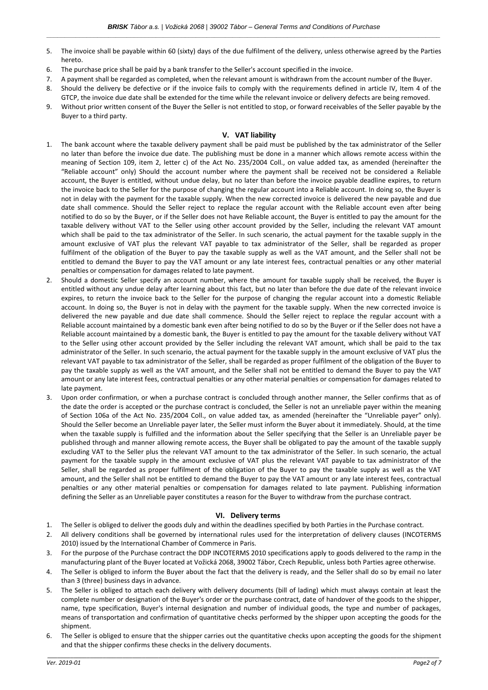- 5. The invoice shall be payable within 60 (sixty) days of the due fulfilment of the delivery, unless otherwise agreed by the Parties hereto.
- 6. The purchase price shall be paid by a bank transfer to the Seller's account specified in the invoice.
- 7. A payment shall be regarded as completed, when the relevant amount is withdrawn from the account number of the Buyer.
- 8. Should the delivery be defective or if the invoice fails to comply with the requirements defined in article IV, Item 4 of the GTCP, the invoice due date shall be extended for the time while the relevant invoice or delivery defects are being removed.
- 9. Without prior written consent of the Buyer the Seller is not entitled to stop, or forward receivables of the Seller payable by the Buyer to a third party.

#### **V. VAT liability**

- 1. The bank account where the taxable delivery payment shall be paid must be published by the tax administrator of the Seller no later than before the invoice due date. The publishing must be done in a manner which allows remote access within the meaning of Section 109, item 2, letter c) of the Act No. 235/2004 Coll., on value added tax, as amended (hereinafter the "Reliable account" only) Should the account number where the payment shall be received not be considered a Reliable account, the Buyer is entitled, without undue delay, but no later than before the invoice payable deadline expires, to return the invoice back to the Seller for the purpose of changing the regular account into a Reliable account. In doing so, the Buyer is not in delay with the payment for the taxable supply. When the new corrected invoice is delivered the new payable and due date shall commence. Should the Seller reject to replace the regular account with the Reliable account even after being notified to do so by the Buyer, or if the Seller does not have Reliable account, the Buyer is entitled to pay the amount for the taxable delivery without VAT to the Seller using other account provided by the Seller, including the relevant VAT amount which shall be paid to the tax administrator of the Seller. In such scenario, the actual payment for the taxable supply in the amount exclusive of VAT plus the relevant VAT payable to tax administrator of the Seller, shall be regarded as proper fulfilment of the obligation of the Buyer to pay the taxable supply as well as the VAT amount, and the Seller shall not be entitled to demand the Buyer to pay the VAT amount or any late interest fees, contractual penalties or any other material penalties or compensation for damages related to late payment.
- 2. Should a domestic Seller specify an account number, where the amount for taxable supply shall be received, the Buyer is entitled without any undue delay after learning about this fact, but no later than before the due date of the relevant invoice expires, to return the invoice back to the Seller for the purpose of changing the regular account into a domestic Reliable account. In doing so, the Buyer is not in delay with the payment for the taxable supply. When the new corrected invoice is delivered the new payable and due date shall commence. Should the Seller reject to replace the regular account with a Reliable account maintained by a domestic bank even after being notified to do so by the Buyer or if the Seller does not have a Reliable account maintained by a domestic bank, the Buyer is entitled to pay the amount for the taxable delivery without VAT to the Seller using other account provided by the Seller including the relevant VAT amount, which shall be paid to the tax administrator of the Seller. In such scenario, the actual payment for the taxable supply in the amount exclusive of VAT plus the relevant VAT payable to tax administrator of the Seller, shall be regarded as proper fulfilment of the obligation of the Buyer to pay the taxable supply as well as the VAT amount, and the Seller shall not be entitled to demand the Buyer to pay the VAT amount or any late interest fees, contractual penalties or any other material penalties or compensation for damages related to late payment.
- 3. Upon order confirmation, or when a purchase contract is concluded through another manner, the Seller confirms that as of the date the order is accepted or the purchase contract is concluded, the Seller is not an unreliable payer within the meaning of Section 106a of the Act No. 235/2004 Coll., on value added tax, as amended (hereinafter the "Unreliable payer" only). Should the Seller become an Unreliable payer later, the Seller must inform the Buyer about it immediately. Should, at the time when the taxable supply is fulfilled and the information about the Seller specifying that the Seller is an Unreliable payer be published through and manner allowing remote access, the Buyer shall be obligated to pay the amount of the taxable supply excluding VAT to the Seller plus the relevant VAT amount to the tax administrator of the Seller. In such scenario, the actual payment for the taxable supply in the amount exclusive of VAT plus the relevant VAT payable to tax administrator of the Seller, shall be regarded as proper fulfilment of the obligation of the Buyer to pay the taxable supply as well as the VAT amount, and the Seller shall not be entitled to demand the Buyer to pay the VAT amount or any late interest fees, contractual penalties or any other material penalties or compensation for damages related to late payment. Publishing information defining the Seller as an Unreliable payer constitutes a reason for the Buyer to withdraw from the purchase contract.

#### **VI. Delivery terms**

- 1. The Seller is obliged to deliver the goods duly and within the deadlines specified by both Parties in the Purchase contract.
- 2. All delivery conditions shall be governed by international rules used for the interpretation of delivery clauses (INCOTERMS 2010) issued by the International Chamber of Commerce in Paris.
- 3. For the purpose of the Purchase contract the DDP INCOTERMS 2010 specifications apply to goods delivered to the ramp in the manufacturing plant of the Buyer located at Vožická 2068, 39002 Tábor, Czech Republic, unless both Parties agree otherwise.
- 4. The Seller is obliged to inform the Buyer about the fact that the delivery is ready, and the Seller shall do so by email no later than 3 (three) business days in advance.
- 5. The Seller is obliged to attach each delivery with delivery documents (bill of lading) which must always contain at least the complete number or designation of the Buyer's order or the purchase contract, date of handover of the goods to the shipper, name, type specification, Buyer's internal designation and number of individual goods, the type and number of packages, means of transportation and confirmation of quantitative checks performed by the shipper upon accepting the goods for the shipment.
- 6. The Seller is obliged to ensure that the shipper carries out the quantitative checks upon accepting the goods for the shipment and that the shipper confirms these checks in the delivery documents.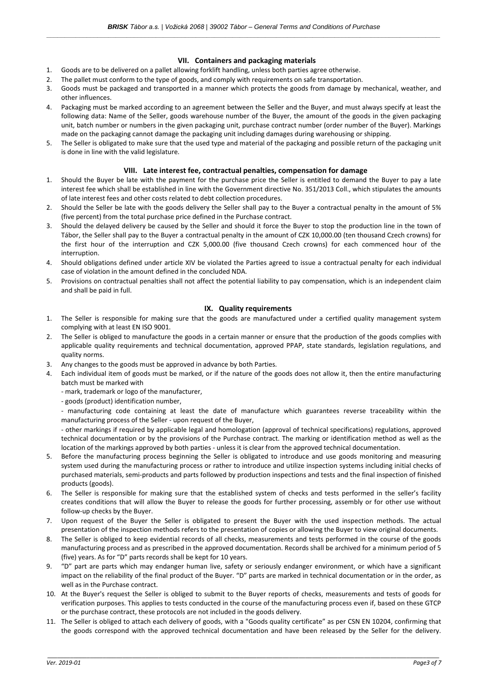## **VII. Containers and packaging materials**

- 1. Goods are to be delivered on a pallet allowing forklift handling, unless both parties agree otherwise.
- 2. The pallet must conform to the type of goods, and comply with requirements on safe transportation.
- 3. Goods must be packaged and transported in a manner which protects the goods from damage by mechanical, weather, and other influences.
- 4. Packaging must be marked according to an agreement between the Seller and the Buyer, and must always specify at least the following data: Name of the Seller, goods warehouse number of the Buyer, the amount of the goods in the given packaging unit, batch number or numbers in the given packaging unit, purchase contract number (order number of the Buyer). Markings made on the packaging cannot damage the packaging unit including damages during warehousing or shipping.
- 5. The Seller is obligated to make sure that the used type and material of the packaging and possible return of the packaging unit is done in line with the valid legislature.

### **VIII. Late interest fee, contractual penalties, compensation for damage**

- 1. Should the Buyer be late with the payment for the purchase price the Seller is entitled to demand the Buyer to pay a late interest fee which shall be established in line with the Government directive No. 351/2013 Coll., which stipulates the amounts of late interest fees and other costs related to debt collection procedures.
- 2. Should the Seller be late with the goods delivery the Seller shall pay to the Buyer a contractual penalty in the amount of 5% (five percent) from the total purchase price defined in the Purchase contract.
- 3. Should the delayed delivery be caused by the Seller and should it force the Buyer to stop the production line in the town of Tábor, the Seller shall pay to the Buyer a contractual penalty in the amount of CZK 10,000.00 (ten thousand Czech crowns) for the first hour of the interruption and CZK 5,000.00 (five thousand Czech crowns) for each commenced hour of the interruption.
- 4. Should obligations defined under article XIV be violated the Parties agreed to issue a contractual penalty for each individual case of violation in the amount defined in the concluded NDA.
- 5. Provisions on contractual penalties shall not affect the potential liability to pay compensation, which is an independent claim and shall be paid in full.

# **IX. Quality requirements**

- 1. The Seller is responsible for making sure that the goods are manufactured under a certified quality management system complying with at least EN ISO 9001.
- 2. The Seller is obliged to manufacture the goods in a certain manner or ensure that the production of the goods complies with applicable quality requirements and technical documentation, approved PPAP, state standards, legislation regulations, and quality norms.
- 3. Any changes to the goods must be approved in advance by both Parties.
- 4. Each individual item of goods must be marked, or if the nature of the goods does not allow it, then the entire manufacturing batch must be marked with
	- mark, trademark or logo of the manufacturer,
	- goods (product) identification number,
	- manufacturing code containing at least the date of manufacture which guarantees reverse traceability within the manufacturing process of the Seller - upon request of the Buyer,

- other markings if required by applicable legal and homologation (approval of technical specifications) regulations, approved technical documentation or by the provisions of the Purchase contract. The marking or identification method as well as the location of the markings approved by both parties - unless it is clear from the approved technical documentation.

- 5. Before the manufacturing process beginning the Seller is obligated to introduce and use goods monitoring and measuring system used during the manufacturing process or rather to introduce and utilize inspection systems including initial checks of purchased materials, semi-products and parts followed by production inspections and tests and the final inspection of finished products (goods).
- 6. The Seller is responsible for making sure that the established system of checks and tests performed in the seller's facility creates conditions that will allow the Buyer to release the goods for further processing, assembly or for other use without follow-up checks by the Buyer.
- 7. Upon request of the Buyer the Seller is obligated to present the Buyer with the used inspection methods. The actual presentation of the inspection methods refers to the presentation of copies or allowing the Buyer to view original documents.
- 8. The Seller is obliged to keep evidential records of all checks, measurements and tests performed in the course of the goods manufacturing process and as prescribed in the approved documentation. Records shall be archived for a minimum period of 5 (five) years. As for "D" parts records shall be kept for 10 years.
- 9. "D" part are parts which may endanger human live, safety or seriously endanger environment, or which have a significant impact on the reliability of the final product of the Buyer. "D" parts are marked in technical documentation or in the order, as well as in the Purchase contract.
- 10. At the Buyer's request the Seller is obliged to submit to the Buyer reports of checks, measurements and tests of goods for verification purposes. This applies to tests conducted in the course of the manufacturing process even if, based on these GTCP or the purchase contract, these protocols are not included in the goods delivery.
- 11. The Seller is obliged to attach each delivery of goods, with a "Goods quality certificate" as per CSN EN 10204, confirming that the goods correspond with the approved technical documentation and have been released by the Seller for the delivery.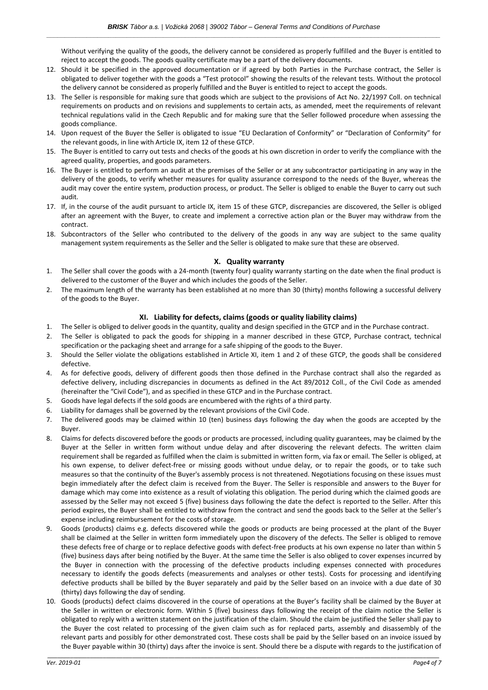Without verifying the quality of the goods, the delivery cannot be considered as properly fulfilled and the Buyer is entitled to reject to accept the goods. The goods quality certificate may be a part of the delivery documents.

- 12. Should it be specified in the approved documentation or if agreed by both Parties in the Purchase contract, the Seller is obligated to deliver together with the goods a "Test protocol" showing the results of the relevant tests. Without the protocol the delivery cannot be considered as properly fulfilled and the Buyer is entitled to reject to accept the goods.
- 13. The Seller is responsible for making sure that goods which are subject to the provisions of Act No. 22/1997 Coll. on technical requirements on products and on revisions and supplements to certain acts, as amended, meet the requirements of relevant technical regulations valid in the Czech Republic and for making sure that the Seller followed procedure when assessing the goods compliance.
- 14. Upon request of the Buyer the Seller is obligated to issue "EU Declaration of Conformity" or "Declaration of Conformity" for the relevant goods, in line with Article IX, item 12 of these GTCP.
- 15. The Buyer is entitled to carry out tests and checks of the goods at his own discretion in order to verify the compliance with the agreed quality, properties, and goods parameters.
- 16. The Buyer is entitled to perform an audit at the premises of the Seller or at any subcontractor participating in any way in the delivery of the goods, to verify whether measures for quality assurance correspond to the needs of the Buyer, whereas the audit may cover the entire system, production process, or product. The Seller is obliged to enable the Buyer to carry out such audit.
- 17. If, in the course of the audit pursuant to article IX, item 15 of these GTCP, discrepancies are discovered, the Seller is obliged after an agreement with the Buyer, to create and implement a corrective action plan or the Buyer may withdraw from the contract.
- 18. Subcontractors of the Seller who contributed to the delivery of the goods in any way are subject to the same quality management system requirements as the Seller and the Seller is obligated to make sure that these are observed.

## **X. Quality warranty**

- 1. The Seller shall cover the goods with a 24-month (twenty four) quality warranty starting on the date when the final product is delivered to the customer of the Buyer and which includes the goods of the Seller.
- 2. The maximum length of the warranty has been established at no more than 30 (thirty) months following a successful delivery of the goods to the Buyer.

## **XI. Liability for defects, claims (goods or quality liability claims)**

- 1. The Seller is obliged to deliver goods in the quantity, quality and design specified in the GTCP and in the Purchase contract.
- 2. The Seller is obligated to pack the goods for shipping in a manner described in these GTCP, Purchase contract, technical specification or the packaging sheet and arrange for a safe shipping of the goods to the Buyer.
- 3. Should the Seller violate the obligations established in Article XI, item 1 and 2 of these GTCP, the goods shall be considered defective.
- 4. As for defective goods, delivery of different goods then those defined in the Purchase contract shall also the regarded as defective delivery, including discrepancies in documents as defined in the Act 89/2012 Coll., of the Civil Code as amended (hereinafter the "Civil Code"), and as specified in these GTCP and in the Purchase contract.
- 5. Goods have legal defects if the sold goods are encumbered with the rights of a third party.
- 6. Liability for damages shall be governed by the relevant provisions of the Civil Code.
- 7. The delivered goods may be claimed within 10 (ten) business days following the day when the goods are accepted by the Buyer.
- 8. Claims for defects discovered before the goods or products are processed, including quality guarantees, may be claimed by the Buyer at the Seller in written form without undue delay and after discovering the relevant defects. The written claim requirement shall be regarded as fulfilled when the claim is submitted in written form, via fax or email. The Seller is obliged, at his own expense, to deliver defect-free or missing goods without undue delay, or to repair the goods, or to take such measures so that the continuity of the Buyer's assembly process is not threatened. Negotiations focusing on these issues must begin immediately after the defect claim is received from the Buyer. The Seller is responsible and answers to the Buyer for damage which may come into existence as a result of violating this obligation. The period during which the claimed goods are assessed by the Seller may not exceed 5 (five) business days following the date the defect is reported to the Seller. After this period expires, the Buyer shall be entitled to withdraw from the contract and send the goods back to the Seller at the Seller's expense including reimbursement for the costs of storage.
- 9. Goods (products) claims e.g. defects discovered while the goods or products are being processed at the plant of the Buyer shall be claimed at the Seller in written form immediately upon the discovery of the defects. The Seller is obliged to remove these defects free of charge or to replace defective goods with defect-free products at his own expense no later than within 5 (five) business days after being notified by the Buyer. At the same time the Seller is also obliged to cover expenses incurred by the Buyer in connection with the processing of the defective products including expenses connected with procedures necessary to identify the goods defects (measurements and analyses or other tests). Costs for processing and identifying defective products shall be billed by the Buyer separately and paid by the Seller based on an invoice with a due date of 30 (thirty) days following the day of sending.
- 10. Goods (products) defect claims discovered in the course of operations at the Buyer's facility shall be claimed by the Buyer at the Seller in written or electronic form. Within 5 (five) business days following the receipt of the claim notice the Seller is obligated to reply with a written statement on the justification of the claim. Should the claim be justified the Seller shall pay to the Buyer the cost related to processing of the given claim such as for replaced parts, assembly and disassembly of the relevant parts and possibly for other demonstrated cost. These costs shall be paid by the Seller based on an invoice issued by the Buyer payable within 30 (thirty) days after the invoice is sent. Should there be a dispute with regards to the justification of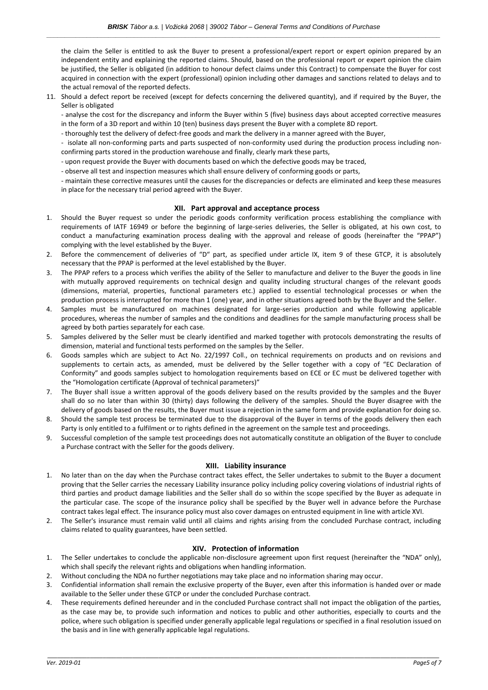the claim the Seller is entitled to ask the Buyer to present a professional/expert report or expert opinion prepared by an independent entity and explaining the reported claims. Should, based on the professional report or expert opinion the claim be justified, the Seller is obligated (in addition to honour defect claims under this Contract) to compensate the Buyer for cost acquired in connection with the expert (professional) opinion including other damages and sanctions related to delays and to the actual removal of the reported defects.

11. Should a defect report be received (except for defects concerning the delivered quantity), and if required by the Buyer, the Seller is obligated

- analyse the cost for the discrepancy and inform the Buyer within 5 (five) business days about accepted corrective measures in the form of a 3D report and within 10 (ten) business days present the Buyer with a complete 8D report.

- thoroughly test the delivery of defect-free goods and mark the delivery in a manner agreed with the Buyer,

- isolate all non-conforming parts and parts suspected of non-conformity used during the production process including nonconfirming parts stored in the production warehouse and finally, clearly mark these parts,

- upon request provide the Buyer with documents based on which the defective goods may be traced,

- observe all test and inspection measures which shall ensure delivery of conforming goods or parts,

- maintain these corrective measures until the causes for the discrepancies or defects are eliminated and keep these measures in place for the necessary trial period agreed with the Buyer.

### **XII. Part approval and acceptance process**

- 1. Should the Buyer request so under the periodic goods conformity verification process establishing the compliance with requirements of IATF 16949 or before the beginning of large-series deliveries, the Seller is obligated, at his own cost, to conduct a manufacturing examination process dealing with the approval and release of goods (hereinafter the "PPAP") complying with the level established by the Buyer.
- 2. Before the commencement of deliveries of "D" part, as specified under article IX, item 9 of these GTCP, it is absolutely necessary that the PPAP is performed at the level established by the Buyer.
- 3. The PPAP refers to a process which verifies the ability of the Seller to manufacture and deliver to the Buyer the goods in line with mutually approved requirements on technical design and quality including structural changes of the relevant goods (dimensions, material, properties, functional parameters etc.) applied to essential technological processes or when the production process is interrupted for more than 1 (one) year, and in other situations agreed both by the Buyer and the Seller.
- 4. Samples must be manufactured on machines designated for large-series production and while following applicable procedures, whereas the number of samples and the conditions and deadlines for the sample manufacturing process shall be agreed by both parties separately for each case.
- 5. Samples delivered by the Seller must be clearly identified and marked together with protocols demonstrating the results of dimension, material and functional tests performed on the samples by the Seller.
- 6. Goods samples which are subject to Act No. 22/1997 Coll., on technical requirements on products and on revisions and supplements to certain acts, as amended, must be delivered by the Seller together with a copy of "EC Declaration of Conformity" and goods samples subject to homologation requirements based on ECE or EC must be delivered together with the "Homologation certificate (Approval of technical parameters)"
- 7. The Buyer shall issue a written approval of the goods delivery based on the results provided by the samples and the Buyer shall do so no later than within 30 (thirty) days following the delivery of the samples. Should the Buyer disagree with the delivery of goods based on the results, the Buyer must issue a rejection in the same form and provide explanation for doing so.
- 8. Should the sample test process be terminated due to the disapproval of the Buyer in terms of the goods delivery then each Party is only entitled to a fulfilment or to rights defined in the agreement on the sample test and proceedings.
- 9. Successful completion of the sample test proceedings does not automatically constitute an obligation of the Buyer to conclude a Purchase contract with the Seller for the goods delivery.

## **XIII. Liability insurance**

- 1. No later than on the day when the Purchase contract takes effect, the Seller undertakes to submit to the Buyer a document proving that the Seller carries the necessary Liability insurance policy including policy covering violations of industrial rights of third parties and product damage liabilities and the Seller shall do so within the scope specified by the Buyer as adequate in the particular case. The scope of the insurance policy shall be specified by the Buyer well in advance before the Purchase contract takes legal effect. The insurance policy must also cover damages on entrusted equipment in line with article XVI.
- 2. The Seller's insurance must remain valid until all claims and rights arising from the concluded Purchase contract, including claims related to quality guarantees, have been settled.

#### **XIV. Protection of information**

- 1. The Seller undertakes to conclude the applicable non-disclosure agreement upon first request (hereinafter the "NDA" only), which shall specify the relevant rights and obligations when handling information.
- 2. Without concluding the NDA no further negotiations may take place and no information sharing may occur.
- 3. Confidential information shall remain the exclusive property of the Buyer, even after this information is handed over or made available to the Seller under these GTCP or under the concluded Purchase contract.
- 4. These requirements defined hereunder and in the concluded Purchase contract shall not impact the obligation of the parties, as the case may be, to provide such information and notices to public and other authorities, especially to courts and the police, where such obligation is specified under generally applicable legal regulations or specified in a final resolution issued on the basis and in line with generally applicable legal regulations.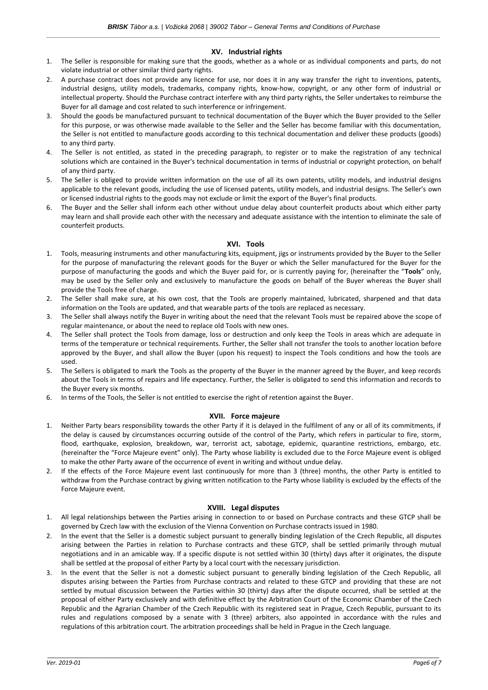## **XV. Industrial rights**

- 1. The Seller is responsible for making sure that the goods, whether as a whole or as individual components and parts, do not violate industrial or other similar third party rights.
- 2. A purchase contract does not provide any licence for use, nor does it in any way transfer the right to inventions, patents, industrial designs, utility models, trademarks, company rights, know-how, copyright, or any other form of industrial or intellectual property. Should the Purchase contract interfere with any third party rights, the Seller undertakes to reimburse the Buyer for all damage and cost related to such interference or infringement.
- 3. Should the goods be manufactured pursuant to technical documentation of the Buyer which the Buyer provided to the Seller for this purpose, or was otherwise made available to the Seller and the Seller has become familiar with this documentation, the Seller is not entitled to manufacture goods according to this technical documentation and deliver these products (goods) to any third party.
- 4. The Seller is not entitled, as stated in the preceding paragraph, to register or to make the registration of any technical solutions which are contained in the Buyer's technical documentation in terms of industrial or copyright protection, on behalf of any third party.
- 5. The Seller is obliged to provide written information on the use of all its own patents, utility models, and industrial designs applicable to the relevant goods, including the use of licensed patents, utility models, and industrial designs. The Seller's own or licensed industrial rights to the goods may not exclude or limit the export of the Buyer's final products.
- 6. The Buyer and the Seller shall inform each other without undue delay about counterfeit products about which either party may learn and shall provide each other with the necessary and adequate assistance with the intention to eliminate the sale of counterfeit products.

## **XVI. Tools**

- 1. Tools, measuring instruments and other manufacturing kits, equipment, jigs or instruments provided by the Buyer to the Seller for the purpose of manufacturing the relevant goods for the Buyer or which the Seller manufactured for the Buyer for the purpose of manufacturing the goods and which the Buyer paid for, or is currently paying for, (hereinafter the "**Tools**" only, may be used by the Seller only and exclusively to manufacture the goods on behalf of the Buyer whereas the Buyer shall provide the Tools free of charge.
- 2. The Seller shall make sure, at his own cost, that the Tools are properly maintained, lubricated, sharpened and that data information on the Tools are updated, and that wearable parts of the tools are replaced as necessary.
- 3. The Seller shall always notify the Buyer in writing about the need that the relevant Tools must be repaired above the scope of regular maintenance, or about the need to replace old Tools with new ones.
- 4. The Seller shall protect the Tools from damage, loss or destruction and only keep the Tools in areas which are adequate in terms of the temperature or technical requirements. Further, the Seller shall not transfer the tools to another location before approved by the Buyer, and shall allow the Buyer (upon his request) to inspect the Tools conditions and how the tools are used.
- 5. The Sellers is obligated to mark the Tools as the property of the Buyer in the manner agreed by the Buyer, and keep records about the Tools in terms of repairs and life expectancy. Further, the Seller is obligated to send this information and records to the Buyer every six months.
- 6. In terms of the Tools, the Seller is not entitled to exercise the right of retention against the Buyer.

#### **XVII. Force majeure**

- 1. Neither Party bears responsibility towards the other Party if it is delayed in the fulfilment of any or all of its commitments, if the delay is caused by circumstances occurring outside of the control of the Party, which refers in particular to fire, storm, flood, earthquake, explosion, breakdown, war, terrorist act, sabotage, epidemic, quarantine restrictions, embargo, etc. (hereinafter the "Force Majeure event" only). The Party whose liability is excluded due to the Force Majeure event is obliged to make the other Party aware of the occurrence of event in writing and without undue delay.
- 2. If the effects of the Force Majeure event last continuously for more than 3 (three) months, the other Party is entitled to withdraw from the Purchase contract by giving written notification to the Party whose liability is excluded by the effects of the Force Majeure event.

#### **XVIII. Legal disputes**

- 1. All legal relationships between the Parties arising in connection to or based on Purchase contracts and these GTCP shall be governed by Czech law with the exclusion of the Vienna Convention on Purchase contracts issued in 1980.
- 2. In the event that the Seller is a domestic subject pursuant to generally binding legislation of the Czech Republic, all disputes arising between the Parties in relation to Purchase contracts and these GTCP, shall be settled primarily through mutual negotiations and in an amicable way. If a specific dispute is not settled within 30 (thirty) days after it originates, the dispute shall be settled at the proposal of either Party by a local court with the necessary jurisdiction.
- In the event that the Seller is not a domestic subject pursuant to generally binding legislation of the Czech Republic, all disputes arising between the Parties from Purchase contracts and related to these GTCP and providing that these are not settled by mutual discussion between the Parties within 30 (thirty) days after the dispute occurred, shall be settled at the proposal of either Party exclusively and with definitive effect by the Arbitration Court of the Economic Chamber of the Czech Republic and the Agrarian Chamber of the Czech Republic with its registered seat in Prague, Czech Republic, pursuant to its rules and regulations composed by a senate with 3 (three) arbiters, also appointed in accordance with the rules and regulations of this arbitration court. The arbitration proceedings shall be held in Prague in the Czech language.